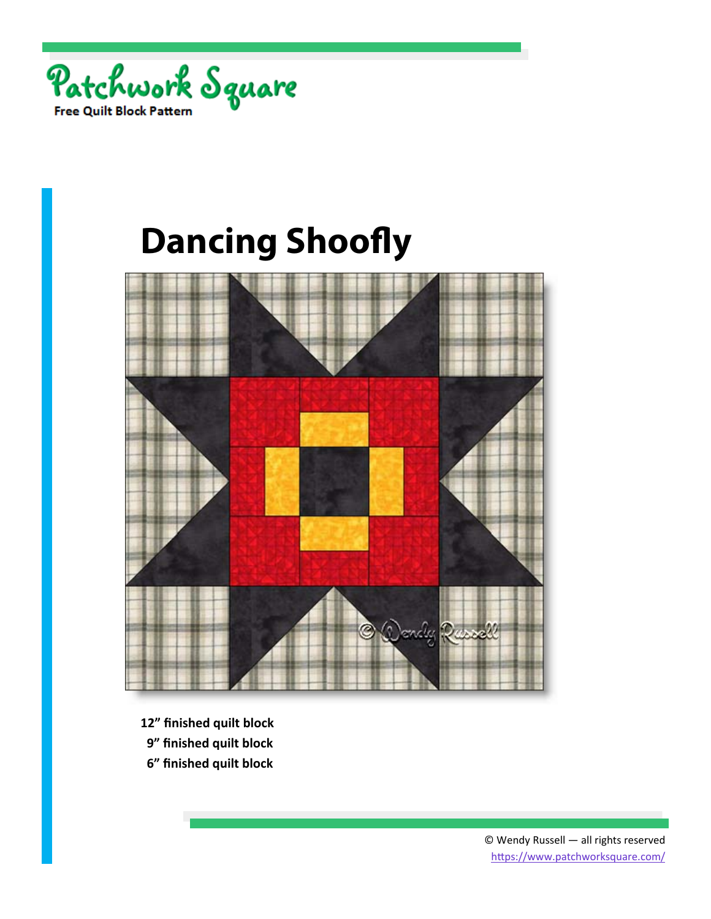



- **12" finished quilt block**
- **9" finished quilt block**
- **6" finished quilt block**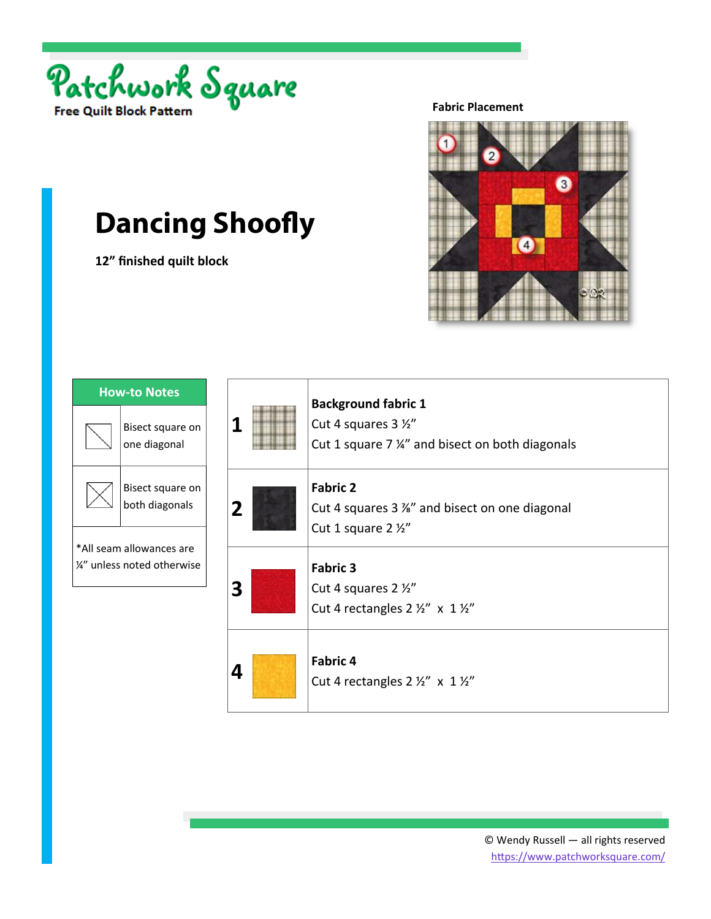

**12" finished quilt block** 

**Fabric Placement** 



| <b>How-to Notes</b>                                     |                                    |
|---------------------------------------------------------|------------------------------------|
|                                                         | Bisect square on<br>one diagonal   |
|                                                         | Bisect square on<br>both diagonals |
| *All seam allowances are<br>1⁄4" unless noted otherwise |                                    |
|                                                         |                                    |

| 1           | <b>Background fabric 1</b><br>Cut 4 squares 3 1/2"<br>Cut 1 square 7 %" and bisect on both diagonals |
|-------------|------------------------------------------------------------------------------------------------------|
| $\mathbf 2$ | <b>Fabric 2</b><br>Cut 4 squares 3 %" and bisect on one diagonal<br>Cut 1 square $2\frac{1}{2}$      |
| 3           | <b>Fabric 3</b><br>Cut 4 squares 2 1/2"<br>Cut 4 rectangles $2 \frac{1}{2}$ " x $1 \frac{1}{2}$ "    |
| 4           | <b>Fabric 4</b><br>Cut 4 rectangles $2 \frac{1}{2}$ " x $1 \frac{1}{2}$ "                            |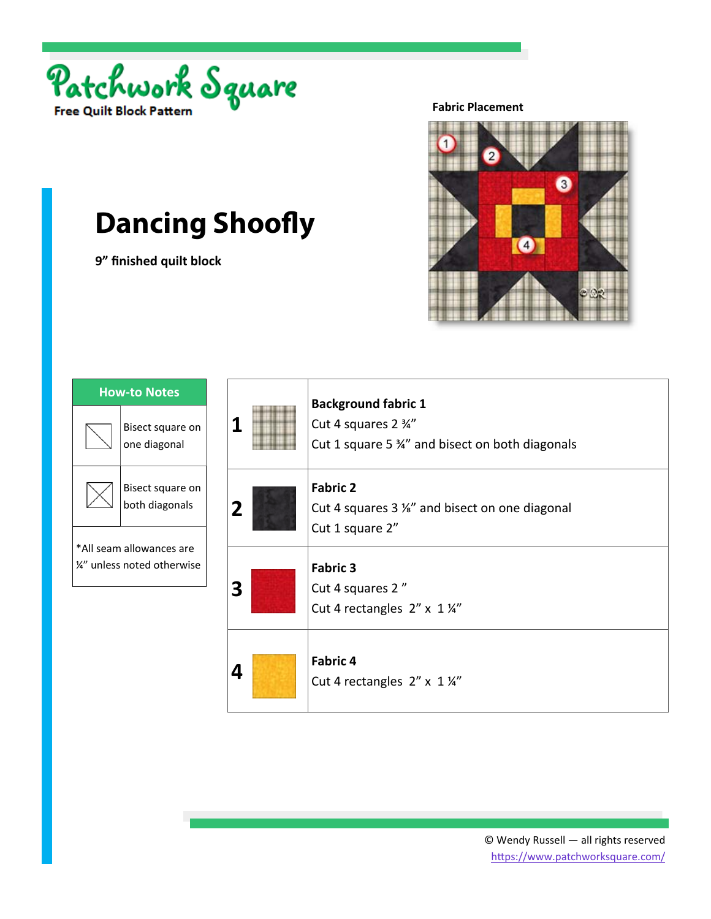

**9" finished quilt block** 

**Fabric Placement** 



| <b>How-to Notes</b>                                     |                                    |
|---------------------------------------------------------|------------------------------------|
|                                                         | Bisect square on<br>one diagonal   |
|                                                         | Bisect square on<br>both diagonals |
| *All seam allowances are<br>1/4" unless noted otherwise |                                    |
|                                                         |                                    |

| 1 | <b>Background fabric 1</b><br>Cut 4 squares 2 3/4"<br>Cut 1 square 5 34" and bisect on both diagonals |
|---|-------------------------------------------------------------------------------------------------------|
| 2 | <b>Fabric 2</b><br>Cut 4 squares 3 %" and bisect on one diagonal<br>Cut 1 square 2"                   |
| 3 | <b>Fabric 3</b><br>Cut 4 squares 2"<br>Cut 4 rectangles $2'' \times 1\frac{1}{4}$                     |
| 4 | Fabric 4<br>Cut 4 rectangles 2" x 1 1/4"                                                              |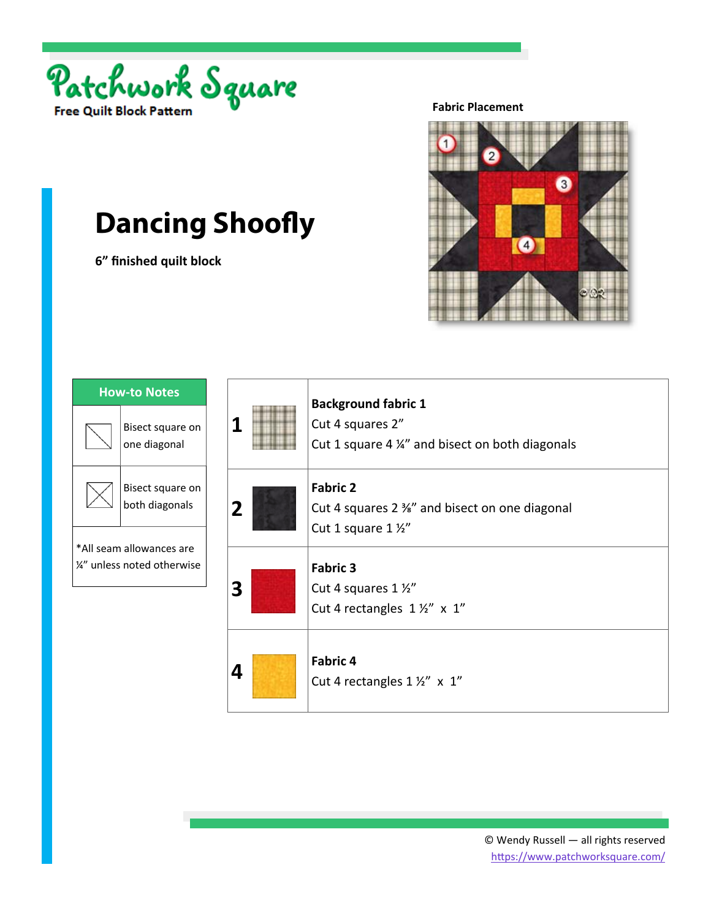

**6" finished quilt block** 

**Fabric Placement** 



| <b>How-to Notes</b>                                     |                                    |
|---------------------------------------------------------|------------------------------------|
|                                                         | Bisect square on<br>one diagonal   |
|                                                         | Bisect square on<br>both diagonals |
| *All seam allowances are<br>1/4" unless noted otherwise |                                    |
|                                                         |                                    |

|  |   | <b>Background fabric 1</b><br>Cut 4 squares 2"<br>Cut 1 square 4 ¼" and bisect on both diagonals |
|--|---|--------------------------------------------------------------------------------------------------|
|  | 2 | <b>Fabric 2</b><br>Cut 4 squares 2 %" and bisect on one diagonal<br>Cut 1 square 1 1/2"          |
|  | 3 | <b>Fabric 3</b><br>Cut 4 squares 1 1/2"<br>Cut 4 rectangles $1\frac{1}{2}$ " x $1$ "             |
|  | 4 | <b>Fabric 4</b><br>Cut 4 rectangles 1 1/2" x 1"                                                  |